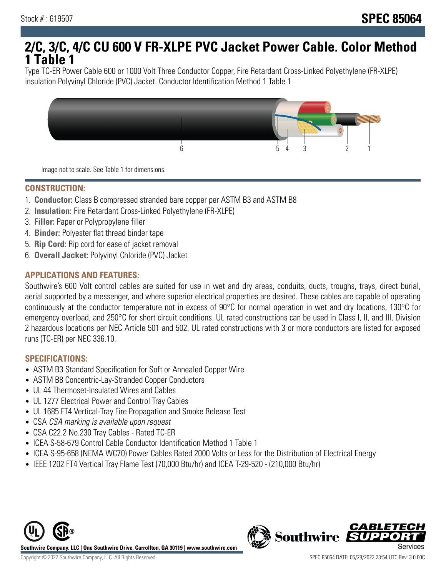# **2/C, 3/C, 4/C CU 600 V FR-XLPE PVC Jacket Power Cable. Color Method 1 Table 1**

Type TC-ER Power Cable 600 or 1000 Volt Three Conductor Copper, Fire Retardant Cross-Linked Polyethylene (FR-XLPE) insulation Polyvinyl Chloride (PVC) Jacket. Conductor Identification Method 1 Table 1



Image not to scale. See Table 1 for dimensions.

### **CONSTRUCTION:**

- 1. **Conductor:** Class B compressed stranded bare copper per ASTM B3 and ASTM B8
- 2. **Insulation:** Fire Retardant Cross-Linked Polyethylene (FR-XLPE)
- 3. **Filler:** Paper or Polypropylene filler
- 4. **Binder:** Polyester flat thread binder tape
- 5. **Rip Cord:** Rip cord for ease of jacket removal
- 6. **Overall Jacket:** Polyvinyl Chloride (PVC) Jacket

## **APPLICATIONS AND FEATURES:**

Southwire's 600 Volt control cables are suited for use in wet and dry areas, conduits, ducts, troughs, trays, direct burial, aerial supported by a messenger, and where superior electrical properties are desired. These cables are capable of operating continuously at the conductor temperature not in excess of 90°C for normal operation in wet and dry locations, 130°C for emergency overload, and 250°C for short circuit conditions. UL rated constructions can be used in Class I, II, and III, Division 2 hazardous locations per NEC Article 501 and 502. UL rated constructions with 3 or more conductors are listed for exposed runs (TC-ER) per NEC 336.10.

### **SPECIFICATIONS:**

- ASTM B3 Standard Specification for Soft or Annealed Copper Wire
- ASTM B8 Concentric-Lay-Stranded Copper Conductors
- UL 44 Thermoset-Insulated Wires and Cables
- UL 1277 Electrical Power and Control Tray Cables
- UL 1685 FT4 Vertical-Tray Fire Propagation and Smoke Release Test
- CSA CSA marking is available upon request
- CSA C22.2 No.230 Tray Cables Rated TC-ER
- ICEA S-58-679 Control Cable Conductor Identification Method 1 Table 1
- ICEA S-95-658 (NEMA WC70) Power Cables Rated 2000 Volts or Less for the Distribution of Electrical Energy
- IEEE 1202 FT4 Vertical Tray Flame Test (70,000 Btu/hr) and ICEA T-29-520 (210,000 Btu/hr)



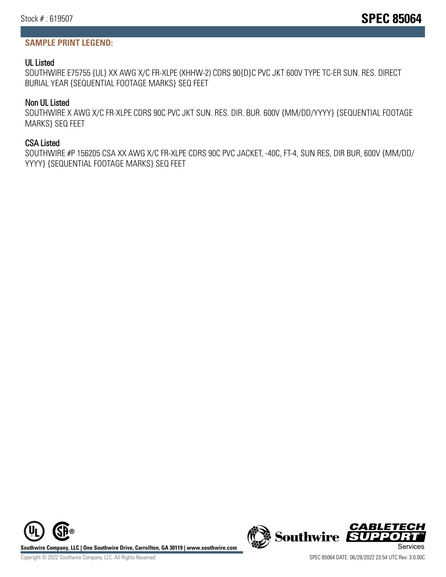# **SAMPLE PRINT LEGEND:**

## UL Listed

SOUTHWIRE E75755 {UL} XX AWG X/C FR-XLPE (XHHW-2) CDRS 90{D}C PVC JKT 600V TYPE TC-ER SUN. RES. DIRECT BURIAL YEAR {SEQUENTIAL FOOTAGE MARKS} SEQ FEET

# Non UL Listed

SOUTHWIRE X AWG X/C FR-XLPE CDRS 90C PVC JKT SUN. RES. DIR. BUR. 600V {MM/DD/YYYY} {SEQUENTIAL FOOTAGE MARKS} SEQ FEET

# CSA Listed

SOUTHWIRE #P 156205 CSA XX AWG X/C FR-XLPE CDRS 90C PVC JACKET, -40C, FT-4, SUN RES, DIR BUR, 600V {MM/DD/ YYYY} {SEQUENTIAL FOOTAGE MARKS} SEQ FEET